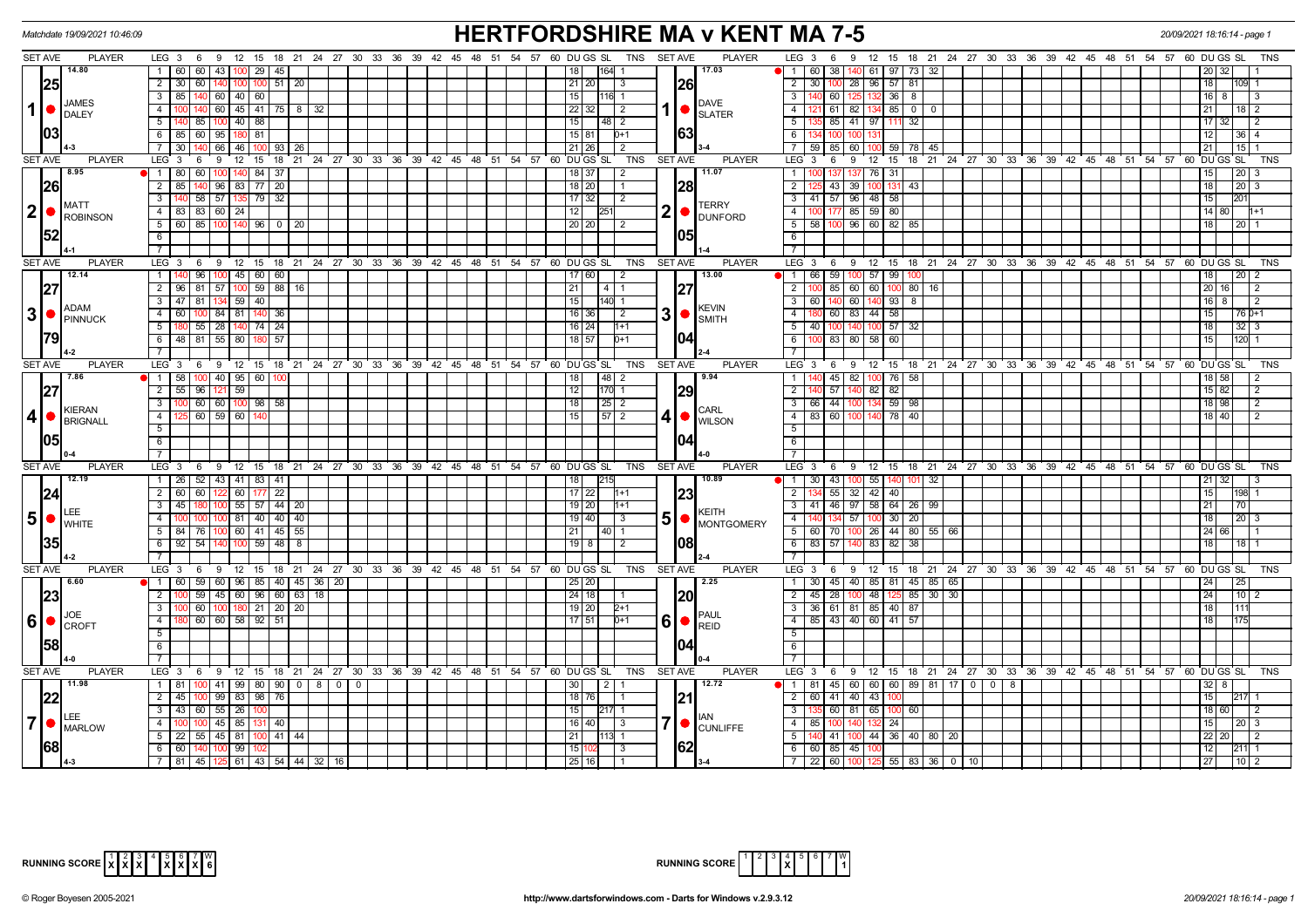|                | Matchdate 19/09/2021 10:46:09             |                                                                                            | <b>HERTFORDSHIRE MA v KENT MA 7-5</b>                                               | 20/09/2021 18:16:14 - page 1                                                                      |                                                    |  |  |  |  |  |  |  |  |
|----------------|-------------------------------------------|--------------------------------------------------------------------------------------------|-------------------------------------------------------------------------------------|---------------------------------------------------------------------------------------------------|----------------------------------------------------|--|--|--|--|--|--|--|--|
| <b>SET AVE</b> | <b>PLAYER</b>                             | LEG 3 6 9 12 15 18 21 24 27 30 33 36 39 42 45 48 51 54 57 60 DUGS SL TNS SETAVE            | <b>PLAYER</b>                                                                       | LEG $3 \quad 6$<br>9 12 15 18 21 24 27 30 33 36 39 42 45 48 51 54 57 60 DU GS SL                  | TNS                                                |  |  |  |  |  |  |  |  |
|                | 14.80                                     | 1 60 60 43 100 29 45                                                                       | 17.03<br>164 1<br>18 I                                                              | $\bullet$ 1 60 38<br>140 61 97 73 32                                                              |                                                    |  |  |  |  |  |  |  |  |
|                | 25                                        | 2   30   60   140   100   100   51   20                                                    | $21$   20 <br> 26 <br>3                                                             | 2 30 100 28 96 57 81                                                                              | 18                                                 |  |  |  |  |  |  |  |  |
| $\vert$        |                                           | $\overline{\mathbf{3}}$<br>85   140   60   40   60                                         | 15 <sup>1</sup><br><b>I116L1</b>                                                    | 3   140 60   125   132   36   8                                                                   | 16   8<br>-3                                       |  |  |  |  |  |  |  |  |
|                | <b>JAMES</b><br>$\bullet$<br><b>DALEY</b> | 100   140   60   45   41   75   8   32<br>$\overline{4}$                                   | <b>DAVE</b><br>$1$ $\bullet$<br>22 32<br>$\vert$ 2<br><b>SLATER</b>                 | 61 82 134 85 0 0<br>$-4$                                                                          | 21<br>18   2                                       |  |  |  |  |  |  |  |  |
|                |                                           | 140 85 100 40 88<br>5                                                                      | 15                                                                                  | 5 135 85 41 97 111<br>32                                                                          | 17 32<br>2                                         |  |  |  |  |  |  |  |  |
|                | 03                                        | 6 85 60 95 180 81                                                                          | 163<br>$15 81 $ 0+1                                                                 | 6 134 100                                                                                         | 12  <br>I 36 I 4                                   |  |  |  |  |  |  |  |  |
|                |                                           | 30   140   66   46   100   93   26  <br>$\overline{7}$                                     | $\sqrt{2}$<br>$21 \mid 26$                                                          | 7   59   85   60   100   59   78   45                                                             | 21                                                 |  |  |  |  |  |  |  |  |
| <b>SET AVE</b> | <b>PLAYER</b>                             | $LEG^3$ 3<br>6 9 12 15 18 21 24 27 30 33 36 39 42 45 48 51 54 57 60 DUGS SL                | <b>TNS</b><br><b>SET AVE</b><br><b>PLAYER</b>                                       | $LEG_3$ 6<br>9 12 15 18 21 24 27 30 33 36 39 42 45 48 51 54 57 60 DUGS SL                         | <b>TNS</b>                                         |  |  |  |  |  |  |  |  |
|                | 8.95                                      | 1   80   60   100   140   84   37                                                          | 11.07<br>$18$ 37<br>2                                                               | 1 100 137 137 76 31                                                                               | 15<br> 20                                          |  |  |  |  |  |  |  |  |
|                | <b>26</b>                                 | 85   140   96   83   77   20<br>$\overline{2}$                                             | $18$   20 <br> 28<br>$\overline{1}$                                                 | $\overline{2}$<br>43<br>39 100<br>131<br>$-43$                                                    | 18<br> 20 <br>l 3                                  |  |  |  |  |  |  |  |  |
|                |                                           | $\overline{3}$<br>140 58 57 135 79 32                                                      | 17 32<br>$\vert$ 2                                                                  | 3   41   57   96   48   58                                                                        | 15<br>201                                          |  |  |  |  |  |  |  |  |
| 2 •            | <b>MATT</b>                               | 4 83 83 60 24                                                                              | <b>TERRY</b><br>2 • <br>$\overline{12}$   251                                       | 4 100 177 85 59 80                                                                                | 14   80                                            |  |  |  |  |  |  |  |  |
|                | <b>ROBINSON</b>                           | 5 60 85 100 140 96 0 20                                                                    | <b>DUNFORD</b><br>20   20  <br>$\overline{2}$                                       | $5$ 58 100 96 60 82 85                                                                            | 18 I<br>12011                                      |  |  |  |  |  |  |  |  |
|                | <b>52</b>                                 | 6                                                                                          | 105                                                                                 |                                                                                                   |                                                    |  |  |  |  |  |  |  |  |
|                |                                           | $\overline{7}$                                                                             |                                                                                     | $\overline{7}$                                                                                    |                                                    |  |  |  |  |  |  |  |  |
| <b>SET AVE</b> | <b>PLAYER</b>                             | .<br>9 12 15 18 21 24 27 30 33 36 39 42 45 48 51 54 57 60 DUGS SL<br>LEG <sub>3</sub><br>6 | TNS<br>SET AVE<br><b>PLAYER</b>                                                     | 9 12 15 18 21 24 27 30 33 36 39 42 45 48 51 54 57 60 DUGS SL<br>LEG 3<br>6                        | <b>TNS</b>                                         |  |  |  |  |  |  |  |  |
|                | 12.14                                     | 96 100 45 60 60<br>$\overline{1}$                                                          | 13.00<br>17   60  <br>$\sqrt{2}$                                                    | 1 66 59<br>100 57 99                                                                              | 18<br>$\sqrt{20}$ 2                                |  |  |  |  |  |  |  |  |
|                | 27                                        | 2   96   81   57   100   59   88   16                                                      | 27<br>21<br>1411                                                                    | 100 85 60 60<br>$\overline{2}$<br>10 <sup>c</sup><br>80 16                                        | 20 16<br>2                                         |  |  |  |  |  |  |  |  |
|                |                                           | 47 81 134 59 40<br>$\overline{3}$                                                          | 15<br>$140$ 1                                                                       | 60 140<br>60 140 93<br>3 <sup>1</sup><br>8                                                        | $16$ 8<br>l 2                                      |  |  |  |  |  |  |  |  |
|                | ADAM                                      | $\overline{4}$<br>60 100 84 81 140 36                                                      | <b>KEVIN</b><br>$3$ $\bullet$ $\frac{NEV_{\text{UV}}}{SMITH}$<br>$16$ 36<br>l 2     | $-4$<br>60<br>83 44 58                                                                            | 15<br>76 0+1                                       |  |  |  |  |  |  |  |  |
|                |                                           | 180 55 28 140<br>$\sqrt{74}$ $\sqrt{24}$<br>$5\overline{)}$                                | $16$   24  <br>$1 + 1$                                                              | 57<br>5 <sup>1</sup><br>40<br>100<br>-32                                                          | 18<br>32                                           |  |  |  |  |  |  |  |  |
|                |                                           | 48 81 55 80 180 57<br>6                                                                    | 104<br>$18$ 57<br>$D+1$                                                             | 100 83 80 58 60<br>6 I                                                                            | 15<br>120 1                                        |  |  |  |  |  |  |  |  |
|                |                                           |                                                                                            |                                                                                     | $\overline{7}$                                                                                    |                                                    |  |  |  |  |  |  |  |  |
| <b>SET AVE</b> | <b>PLAYER</b>                             | LEG 3 6 9 12 15 18 21 24 27 30 33 36 39 42 45 48 51 54 57 60 DUGS SL                       | <b>PLAYER</b><br>TNS<br><b>SET AVE</b>                                              | LEG $3\quad 6$<br>9 12 15 18 21 24 27 30 33 36 39 42 45 48 51 54 57 60 DUGS SL                    | <b>TNS</b>                                         |  |  |  |  |  |  |  |  |
|                | 7.86                                      | $\bullet$ 1 58 100 40 95 60                                                                | 48 2<br>9.94<br>18 <sup>1</sup>                                                     | 1 <sup>1</sup><br>45<br>82 1<br>76<br>100<br>58                                                   | 18   58                                            |  |  |  |  |  |  |  |  |
|                | 27                                        | $\overline{2}$<br>55 96 121 59                                                             | 29<br>12<br>170 1                                                                   | 2 <sup>1</sup><br>57<br>140 82 82                                                                 | 15 82<br>2                                         |  |  |  |  |  |  |  |  |
|                |                                           | $\overline{3}$<br>00 60 60 100 98 58                                                       | 18 <sup>1</sup><br>$\begin{array}{ c c c c c } \hline 25 & 2 \\ \hline \end{array}$ | 66 44<br>59 98<br>3 I                                                                             | 18 98<br>2                                         |  |  |  |  |  |  |  |  |
| $\vert$ 4      | KIERAN<br><b>BRIGNALL</b>                 | 5 60 59 60<br>$\overline{4}$                                                               | CARL<br>410<br>15<br>$57$   2<br><b>WILSON</b>                                      | 4 83 60<br>100 140 78 40                                                                          | $18$  40 <br>2                                     |  |  |  |  |  |  |  |  |
|                |                                           | $\overline{5}$                                                                             |                                                                                     | 5                                                                                                 |                                                    |  |  |  |  |  |  |  |  |
|                | 05                                        | 6                                                                                          | 104                                                                                 | 6                                                                                                 |                                                    |  |  |  |  |  |  |  |  |
|                |                                           | $\overline{7}$                                                                             |                                                                                     |                                                                                                   |                                                    |  |  |  |  |  |  |  |  |
| <b>SET AVE</b> | <b>PLAYER</b>                             | $LEG-3$<br>69<br>12 15 18 21 24 27 30 33 36 39 42 45 48 51 54 57 60 DUGS SL                | <b>PLAYER</b><br><b>TNS</b><br><b>SET AVE</b>                                       | LEG <sub>3</sub><br>9 12 15 18 21 24 27 30 33 36 39 42 45 48 51<br>6                              | 54 57 60 DUGS SL<br><b>TNS</b>                     |  |  |  |  |  |  |  |  |
|                | 12.19                                     | 1   26   52   43   41   83   41                                                            | 215<br>10.89<br>18                                                                  | 1 30 43 100 55 140 101 32                                                                         | 21   32  <br>-3                                    |  |  |  |  |  |  |  |  |
|                | 24                                        | $\overline{2}$<br>60 60 122 60 177 22                                                      | $17$   22  <br> 23<br>$1 + 1$                                                       | 55 32 42<br>$\overline{2}$<br>40                                                                  | 15<br>198                                          |  |  |  |  |  |  |  |  |
|                |                                           | $\sqrt{55}$ 57 44 20<br>$\overline{3}$<br>45<br>100                                        | $19$ 20<br>$1+1$                                                                    | 3   41   46   97   58   64   26   99                                                              | 21 <br>70                                          |  |  |  |  |  |  |  |  |
| $5$ $\bullet$  | <b>ILEE</b><br><b>WHITE</b>               | 100 100 100 81 40 40 40<br>$\overline{4}$                                                  | KEITH<br>5 MONTGOMERY<br>19   40<br>$\vert$ 3                                       | 4   140   134   57   100   30   20                                                                | 18 <br> 20 3                                       |  |  |  |  |  |  |  |  |
|                |                                           | $5 \mid 84 \mid 76 \mid 100 \mid 60 \mid 41 \mid 45 \mid 55$                               | $21$ $ 40 1$                                                                        | 5 60 70 100 26 44 80 55 66                                                                        | 24 66                                              |  |  |  |  |  |  |  |  |
|                |                                           | $92$ 54 140<br>$100 \ 59 \ 48 \ 8$<br>6                                                    | 108<br>$19$ 8<br>$\overline{2}$                                                     | $6$ 83 57 140 83 82<br>38                                                                         | 18<br>$18$   1                                     |  |  |  |  |  |  |  |  |
|                |                                           | $\overline{7}$                                                                             |                                                                                     | $\overline{7}$                                                                                    |                                                    |  |  |  |  |  |  |  |  |
| <b>SET AVE</b> | <b>PLAYER</b>                             | LEG 3 6 9 12 15 18 21 24 27 30 33 36 39 42 45 48 51 54 57 60 DUGS SL TNS                   | <b>SET AVE</b><br><b>PLAYER</b>                                                     | LEG 3 6 9 12 15 18 21 24 27 30 33 36 39 42 45 48 51 54 57 60 DUGS SL                              | <b>TNS</b>                                         |  |  |  |  |  |  |  |  |
|                | 6.60                                      | 1 60 59 60 96 85 40 45 36 20                                                               | 25 20 <br>2.25                                                                      | 30   45   40   85   81   45   85   65<br>$\overline{1}$                                           | $\overline{24}$<br>$\overline{25}$                 |  |  |  |  |  |  |  |  |
|                | 23                                        | 00 59 45 60 96 60 63 18<br>$\overline{2}$                                                  | 20 <br>$24$ 18<br>l 1                                                               | 2   45   28<br>100 48 125 85 30 30                                                                | 24  <br> 10                                        |  |  |  |  |  |  |  |  |
|                |                                           | 00 60 100 180 21 20 20<br>3                                                                | $19$ 20<br>$2+1$                                                                    | $3$ 36 61 81 85 40 87                                                                             | 18<br> 111                                         |  |  |  |  |  |  |  |  |
|                | $ 6  \bullet  _{\text{CROFT}}$            | 60   60   58   92   51<br>$\overline{4}$                                                   | <b>IPAUL</b><br>6 • <br>$17$ 51<br>$0+1$<br>REID                                    | 4   85   43   40   60   41   57                                                                   |                                                    |  |  |  |  |  |  |  |  |
|                |                                           | $\overline{5}$                                                                             |                                                                                     | 5 <sup>5</sup>                                                                                    |                                                    |  |  |  |  |  |  |  |  |
|                | <b>158</b>                                | $6\overline{}$                                                                             | 104                                                                                 | 6                                                                                                 |                                                    |  |  |  |  |  |  |  |  |
|                |                                           | $\overline{7}$                                                                             |                                                                                     |                                                                                                   |                                                    |  |  |  |  |  |  |  |  |
| <b>SET AVE</b> | <b>PLAYER</b>                             | LEG 3 6 9 12 15 18 21 24 27 30 33 36 39 42 45 48 51 54 57 60 DUGS SL                       | <b>SET AVE</b><br><b>PLAYER</b><br><b>TNS</b>                                       | LEG 3 6 9 12 15 18 21 24 27 30 33 36 39 42 45 48 51 54 57 60 DUGS SL                              | <b>TNS</b>                                         |  |  |  |  |  |  |  |  |
|                | 11.98                                     | 1 81 100 41 99 80 90 0 8 0                                                                 | 12.72                                                                               | $\begin{array}{ c c c c }\n\hline\n\hline\n\end{array}$ 1 81<br>45 60 60 60 89 81 17<br>$0 0 0 8$ | -8                                                 |  |  |  |  |  |  |  |  |
|                | 22                                        | 45   100   99   83   98   76<br>$\overline{2}$                                             | 21 <br>18 76                                                                        | 2 60 41 40 43                                                                                     | 15 <sup>1</sup>                                    |  |  |  |  |  |  |  |  |
|                | <b>ILEE</b>                               | 43 60 55 26<br>$\overline{3}$                                                              | 15<br>$217$ 1<br>IIAN                                                               | 60<br>3 <sup>1</sup><br>81 65<br>100<br>60                                                        | 18 60<br>$\mathcal{P}$                             |  |  |  |  |  |  |  |  |
| $\overline{7}$ | <b>MARLOW</b>                             | 45 85 131 40<br>$\overline{4}$                                                             | 7 • <br>$16$   40  <br>$\vert$ 3<br><b>CUNLIFFE</b>                                 | 24<br>85<br>4 I<br>132                                                                            | 15<br>$20$   3                                     |  |  |  |  |  |  |  |  |
|                |                                           | 22   55   45   81   100   41   44  <br>5                                                   | 21<br>$1113$ 1                                                                      | $100 \overline{44}$ 36 40 80 20<br>5 I<br>140 41                                                  | 22 20<br>$\vert$ 2                                 |  |  |  |  |  |  |  |  |
|                | <b>68</b>                                 | 6<br>60 140 100 99                                                                         | <b>62</b><br>15 10<br>l 3                                                           | 6 60 85 45 100                                                                                    | 12<br> 211  1                                      |  |  |  |  |  |  |  |  |
|                |                                           | 7   81   45   125   61   43   54   44   32   16                                            | 25 16                                                                               | 7 22 60 100 125 55 83 36 0 10                                                                     | $\begin{array}{c} \boxed{27} \end{array}$<br> 10 2 |  |  |  |  |  |  |  |  |

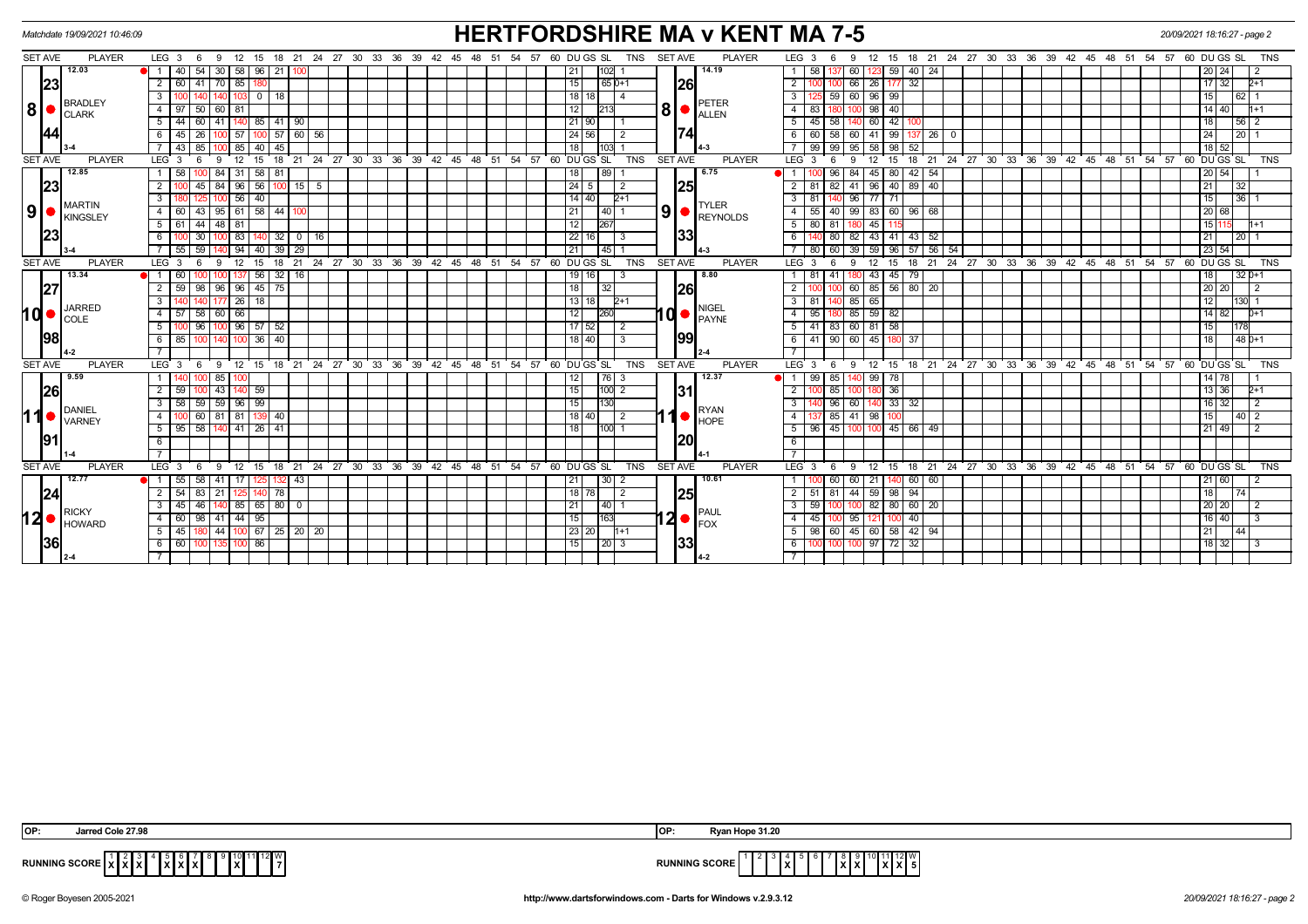|                |                | Matchdate 19/09/2021 10:46:09  |                         |                    |         |                              |               |          |              |              |                                                 |  |  |  |    |    |       |      |                                |                                                      |                   |            |                |             | <b>HERTFORDSHIRE MA v KENT MA 7-5</b>                                                                 |                 |                  |                     |                         |               |              |                                        |  |   |  |                                                 |                    | 20/09/2021 18:16:27 - page 2 |                 |                 |               |  |
|----------------|----------------|--------------------------------|-------------------------|--------------------|---------|------------------------------|---------------|----------|--------------|--------------|-------------------------------------------------|--|--|--|----|----|-------|------|--------------------------------|------------------------------------------------------|-------------------|------------|----------------|-------------|-------------------------------------------------------------------------------------------------------|-----------------|------------------|---------------------|-------------------------|---------------|--------------|----------------------------------------|--|---|--|-------------------------------------------------|--------------------|------------------------------|-----------------|-----------------|---------------|--|
|                | <b>SET AVE</b> | <b>PLAYER</b>                  |                         | $LEG_3 6$          |         | - 9                          | 12 15         |          |              |              | 18 21 24 27 30 33 36 39 42 45                   |  |  |  | 48 |    | 51 54 | 57   |                                | 60 DU GS SL                                          |                   | <b>TNS</b> | <b>SET AVE</b> |             | <b>PLAYER</b>                                                                                         |                 | LEG <sub>3</sub> | -6                  | $12 \overline{ }$       |               |              | 15 18 21 24 27 30 33 36 39 42 45 48 51 |  |   |  |                                                 | 54 57              |                              | 60 DU GS SL     |                 | <b>TNS</b>    |  |
|                |                | 12.03                          | $\overline{1}$          | 40                 | l 54    | 30   58   96                 |               |          | 21 100       |              |                                                 |  |  |  |    |    |       |      |                                | 21                                                   | 102 1             |            |                |             | 14.19                                                                                                 |                 | 58               | 137 60              | 1231                    |               | $59 \mid 40$ | 24                                     |  |   |  |                                                 |                    |                              | 20   24         |                 | -2            |  |
|                | 23             |                                | $\overline{2}$          |                    |         | $60$ 41 70 85 1              |               |          |              |              |                                                 |  |  |  |    |    |       |      |                                | 15                                                   | $165D+1$          |            |                | 26          |                                                                                                       | $\overline{2}$  |                  | 100 66              |                         | 26 177 32     |              |                                        |  |   |  |                                                 |                    |                              | 17 32           |                 | $2+1$         |  |
| 8 •            |                |                                | $\overline{3}$          |                    |         |                              |               | $0$   18 |              |              |                                                 |  |  |  |    |    |       |      |                                | $18$ 18                                              | $\vert$ 4         |            |                |             |                                                                                                       | $\mathbf{3}$    |                  | 59 60               |                         | 96 99         |              |                                        |  |   |  |                                                 |                    |                              |                 | 62 <sub>1</sub> |               |  |
|                |                | <b>BRADLEY</b>                 | 4 I                     | 97                 | 50      | 60 81                        |               |          |              |              |                                                 |  |  |  |    |    |       |      |                                | 12                                                   |                   |            |                |             | PETER<br>18   <b>ALLEN</b>                                                                            | $\overline{4}$  | 83               |                     | 98                      | 40            |              |                                        |  |   |  |                                                 |                    |                              | 14   40         |                 | l1+1          |  |
|                |                | <b>CLARK</b>                   | 5                       | 44                 | 60      | 41   140   85   41   90      |               |          |              |              |                                                 |  |  |  |    |    |       |      |                                | 21 90                                                |                   |            |                |             |                                                                                                       | 5               | 45               | 58                  | 60                      | 42            |              |                                        |  |   |  |                                                 |                    |                              | 18              |                 | 56 2          |  |
|                | 44             |                                | 6                       | 45                 | l 26    | 100                          | .57           |          |              | $57$ 60 $56$ |                                                 |  |  |  |    |    |       |      | 24 56                          |                                                      | $\sqrt{2}$        |            | 174            |             |                                                                                                       | 60              | 58               | 41<br>- 60          | 99 1                    |               | 26           |                                        |  |   |  |                                                 |                    | 24                           | 20              |                 |               |  |
|                |                |                                |                         | $43$ 85            |         | 100 I                        | $85$   40     |          | 45           |              |                                                 |  |  |  |    |    |       |      |                                | 18 <sup>1</sup>                                      | 1031              |            |                |             |                                                                                                       |                 | 99               | 99 95               | 58                      |               | 98 52        |                                        |  |   |  |                                                 |                    |                              | $18$ 52         |                 |               |  |
|                | <b>SET AVE</b> | <b>PLAYER</b>                  | LEG <sup>3</sup>        |                    |         | 9                            | 12            | 15       |              |              | 18 21 24 27 30 33 36 39 42 45 48 51 54          |  |  |  |    |    |       | ່ 57 |                                | 60 DUGS SL                                           |                   | <b>TNS</b> | <b>SET AVE</b> |             | <b>PLAYER</b>                                                                                         |                 | LEG <sub>3</sub> | - 6                 | 12 <sup>2</sup>         | 15            |              | 18 21 24 27 30 33 36 39 42 45 48       |  |   |  | ້ 51                                            | 54 57              |                              | 60 DUGS SL      |                 | <b>TNS</b>    |  |
|                |                | 12.85                          |                         | 58                 |         | 84                           | 31            | 58       | 81           |              |                                                 |  |  |  |    |    |       |      |                                | 18                                                   | 89                |            |                |             | 6.75                                                                                                  |                 |                  | 96 84               | 45                      | 80            | 42           | 54                                     |  |   |  |                                                 |                    |                              | 20 54           |                 |               |  |
|                | 23             |                                | $\overline{2}$          |                    | 45      | 84                           | $96$ 56       |          |              | $100$ 15 5   |                                                 |  |  |  |    |    |       |      |                                | $\vert 24 \vert 5$                                   | $\overline{2}$    |            |                |             | 25 <br><b>TYLER</b><br>$\left  9 \right $ $\left  \underset{\text{REYNOLDS}}{\text{ENNDLOS}} \right $ |                 | 81               | $82 \ 41$           | 96                      |               | 40 89        | 40                                     |  |   |  |                                                 |                    |                              | $\overline{21}$ | 32              |               |  |
|                |                |                                | $\overline{\mathbf{3}}$ |                    |         | 100 <sub>l</sub>             | $56$   40     |          |              |              |                                                 |  |  |  |    |    |       |      |                                | $14$ 40                                              | $2+1$             |            |                |             |                                                                                                       |                 | 81               | 140 96              |                         | 77771         |              |                                        |  |   |  |                                                 |                    |                              | 15              |                 | 13617         |  |
| 9 <sup>1</sup> |                | <b>MARTIN</b><br>KINGSLEY      | $\overline{4}$          | 60   43            |         | 95   61   58                 |               |          | 44           |              |                                                 |  |  |  |    |    |       |      |                                | 21                                                   | 140 I 1           |            |                | 33          |                                                                                                       |                 | 55               | 40                  | 99                      | 83 60 96      |              | 68                                     |  |   |  |                                                 |                    |                              | 20 68           |                 |               |  |
|                |                |                                | 5                       | $61 \mid 44 \mid$  |         | $48$ 81                      |               |          |              |              |                                                 |  |  |  |    |    |       |      |                                | 12                                                   | 267               |            |                |             |                                                                                                       |                 | $5 \mid 80$      | 81 180              | 45                      |               |              |                                        |  |   |  |                                                 |                    |                              | 15 11           |                 | l1+1          |  |
|                | 23             |                                | 6                       |                    | 100 30  | 100 I                        | 83 140        |          |              | 32 0 16      |                                                 |  |  |  |    |    |       |      |                                | 22 16                                                | l 3               |            |                |             |                                                                                                       | 6               |                  | 80 82               |                         | 43 41 43      |              | 52                                     |  |   |  |                                                 |                    |                              | $\sqrt{21}$     | $\overline{20}$ |               |  |
|                |                |                                | $\overline{7}$          |                    | $55$ 59 |                              | 94   40       |          | $39 \mid 29$ |              |                                                 |  |  |  |    |    |       |      |                                | 21                                                   | l 45 l 1          |            |                |             | l 4-3                                                                                                 |                 | 80               | 60 39               | $\overline{59}$         |               |              | $96$ 57 56 54                          |  |   |  |                                                 |                    |                              | 23 54           |                 |               |  |
|                | <b>SET AVE</b> | <b>PLAYER</b>                  | LEG <sub>3</sub>        |                    | - 6     | 9                            | $12 \quad 15$ |          |              |              |                                                 |  |  |  |    |    |       |      |                                | 18 21 24 27 30 33 36 39 42 45 48 51 54 57 60 DUGS SL |                   | <b>TNS</b> | <b>SET AVE</b> |             | <b>PLAYER</b>                                                                                         |                 | LEG <sup>3</sup> | 6                   | -9                      | $12 \quad 15$ |              |                                        |  |   |  | 18 21 24 27 30 33 36 39 42 45 48 51 54 57       |                    |                              | 60 DUGS SL TNS  |                 |               |  |
|                |                | 13.34<br><b>JARRED</b><br>COLE | 11                      | 60                 |         |                              |               | 56       | $32$   16    |              |                                                 |  |  |  |    |    |       |      |                                | 19 16                                                | l 3               |            |                |             | 8.80                                                                                                  |                 | 81               | 41                  | 43                      |               | 45 79        |                                        |  |   |  |                                                 |                    |                              | 18              |                 | $32 0+1$      |  |
|                | 27             |                                | 2                       | $59$   98          |         | 96   96   45   75            |               |          |              |              |                                                 |  |  |  |    |    |       |      | <b>26</b><br> 18 <br> 32 <br>2 |                                                      | 100 60            |            |                | 85 56 80 20 |                                                                                                       |                 |                  |                     |                         |               |              | 20 20                                  |  | 2 |  |                                                 |                    |                              |                 |                 |               |  |
|                |                |                                | 3                       |                    |         | 177                          | $26$   18     |          |              |              |                                                 |  |  |  |    |    |       |      |                                | 13 18                                                | $2+1$             |            |                |             | <b>NIGEL</b><br>$10o$ PAYNE                                                                           |                 | 81               |                     | 65<br>85                |               |              |                                        |  |   |  |                                                 |                    |                              |                 |                 | 130I 1        |  |
|                | I d  ●         |                                | 4                       | $57$ 58            |         | 60                           | 66            |          |              |              |                                                 |  |  |  |    |    |       |      |                                | 12                                                   |                   |            |                |             |                                                                                                       |                 | 95               |                     | 180 85 59 82            |               |              |                                        |  |   |  |                                                 |                    |                              | 14   82         |                 | $h+1$         |  |
|                |                |                                | 5 <sup>5</sup>          |                    | 96      | 100                          | $96$ 57       |          | 52           |              |                                                 |  |  |  |    |    |       |      |                                | $17 \overline{)52}$                                  | l 2               |            |                |             |                                                                                                       | 5               | 41               | 83 60               | 81                      | 58            |              |                                        |  |   |  |                                                 |                    |                              |                 |                 |               |  |
|                | <b>98</b>      |                                | 6                       | 85 100             |         | 140                          | $100$ 36      |          | 40           |              |                                                 |  |  |  |    |    |       |      |                                | 18 40                                                |                   | l 3        |                | 99          |                                                                                                       | 6               | 41               | 90 60               |                         | 45 180 37     |              |                                        |  |   |  |                                                 |                    |                              | 18              |                 | $148D+1$      |  |
|                |                |                                | $\overline{7}$          |                    |         |                              |               |          |              |              |                                                 |  |  |  |    |    |       |      |                                |                                                      |                   |            |                |             |                                                                                                       |                 |                  |                     |                         |               |              |                                        |  |   |  |                                                 |                    |                              |                 |                 |               |  |
|                | <b>SET AVE</b> | <b>PLAYER</b>                  | $LEG_3$                 |                    | - 6     | 9                            |               |          |              |              | 12 15 18 21 24 27 30 33 36 39 42 45 48 51 54 57 |  |  |  |    |    |       |      |                                | 60 DU GS SL                                          |                   | <b>TNS</b> | <b>SET AVE</b> |             | <b>PLAYER</b>                                                                                         |                 | LEG <sub>3</sub> | 6                   | 9                       |               |              |                                        |  |   |  | 12 15 18 21 24 27 30 33 36 39 42 45 48 51 54 57 |                    |                              | 60 DU GS SL     |                 | <b>TNS</b>    |  |
|                |                | 9.59                           |                         |                    |         | 85                           |               |          |              |              |                                                 |  |  |  |    |    |       |      |                                | 12 <sub>1</sub>                                      | $\overline{76}$ 3 |            |                |             | 12.37                                                                                                 |                 | 99               | 85 F                | 99 l                    | 78            |              |                                        |  |   |  |                                                 |                    |                              | 14   78         |                 |               |  |
|                | 26             |                                | $2^{\circ}$             | 59                 |         | 43   140   59                |               |          |              |              |                                                 |  |  |  |    |    |       |      |                                | 15                                                   | $100$ 2           |            |                | 31          |                                                                                                       | 2               |                  | 85 100              | 180                     | 36            |              |                                        |  |   |  |                                                 |                    |                              | 13 36           |                 | $2+1$         |  |
|                |                | <b>DANIEL</b>                  | $\mathbf{3}$            | 58                 | 59      | 59   96   99                 |               |          |              |              |                                                 |  |  |  |    |    |       |      |                                | 15                                                   | 130               |            |                |             |                                                                                                       |                 |                  | 96 60               |                         |               | $33 \mid 32$ |                                        |  |   |  |                                                 |                    |                              | 16 32           |                 |               |  |
| 11             |                | <b>VARNEY</b>                  | $\overline{4}$          |                    | l 60 l  | 81                           | 81   1        |          | 40           |              |                                                 |  |  |  |    |    |       |      |                                | 18   40                                              | l 2               |            |                |             | <b>RYAN</b><br>$\left( \parallel \bullet \parallel _{\mathsf{HOPE}} \right)$                          | $\overline{4}$  |                  |                     | 85 41 98                |               |              |                                        |  |   |  |                                                 |                    |                              | 15              |                 | 40   2        |  |
|                |                |                                | 5 I                     | 95   58            |         | 140 41 26                    |               |          | 41           |              |                                                 |  |  |  |    |    |       |      |                                | 18                                                   | <b>100 1</b>      |            |                |             |                                                                                                       | 5               | 96               | 45 100              | 100 I                   |               | 45 66        | 49                                     |  |   |  |                                                 |                    |                              | 211491          |                 |               |  |
|                | 91             |                                | 6                       |                    |         |                              |               |          |              |              |                                                 |  |  |  |    |    |       |      |                                |                                                      |                   |            |                | 20          |                                                                                                       | 6               |                  |                     |                         |               |              |                                        |  |   |  |                                                 |                    |                              |                 |                 |               |  |
|                |                |                                |                         |                    |         |                              |               |          |              |              |                                                 |  |  |  |    |    |       |      |                                |                                                      |                   |            |                |             |                                                                                                       |                 |                  |                     |                         |               |              |                                        |  |   |  |                                                 |                    |                              |                 |                 |               |  |
|                | <b>SET AVE</b> | <b>PLAYER</b>                  | $LEG$ 3                 |                    | - 6     | 9                            | 12            | - 15     | 18           | 21           | $24$ 27 30 33 36 39 42 45                       |  |  |  | 48 | 51 | 54    | 57   |                                | 60 DU GS SL                                          |                   | <b>TNS</b> | <b>SET AVE</b> |             | <b>PLAYER</b>                                                                                         |                 | $LEG_3$          | - 6                 | 12<br>-9                | 15            | ີ 18         | 21 24 27 30 33 36 39 42 45 48 51       |  |   |  |                                                 | $\overline{54}$ 57 |                              | 60 DUGS SL      |                 | <b>TNS</b>    |  |
|                |                | 12.77                          | $\blacksquare$          | 55                 | 58      | 41                           | -17           |          | 1321         | 43           |                                                 |  |  |  |    |    |       |      |                                | 21                                                   | $30$   2          |            |                |             | 10.61                                                                                                 |                 |                  | 60 60               | 21                      |               | 140 60       | 60                                     |  |   |  |                                                 |                    |                              | 21 60 1         |                 |               |  |
|                | 24             |                                | $\overline{2}$          | $\overline{54}$ 83 |         | 21                           |               |          | 78           |              |                                                 |  |  |  |    |    |       |      |                                | 18 78                                                | $\overline{2}$    |            |                | 25          |                                                                                                       | $\overline{2}$  | -51              | $81 \overline{)44}$ |                         | 59 98 94      |              |                                        |  |   |  |                                                 |                    |                              | 18              | 74              |               |  |
|                |                | <b>RICKY</b>                   | $\overline{3}$          | $45$   $46$        |         | $140$ 85 65 80 0             |               |          |              |              |                                                 |  |  |  |    |    |       |      |                                | $\boxed{21}$                                         |                   |            |                |             |                                                                                                       | 3 I             | 59               |                     | $100$ $100$ 82 80 60 20 |               |              |                                        |  |   |  |                                                 |                    |                              | 20 20 1         |                 | $\frac{1}{2}$ |  |
| l2 ●           |                | <b>HOWARD</b>                  | 4                       | 60                 | 98      | 41                           | $44$   95     |          |              |              |                                                 |  |  |  |    |    |       |      |                                | 15                                                   | 163               |            |                |             | PAUL<br>$ 2 $ $ _{\text{FOX}}^{\text{PAUL}}$                                                          |                 | 45               | 100 95              | 121                     |               | $\sqrt{40}$  |                                        |  |   |  |                                                 |                    |                              | 16   40         |                 | $\mathcal{B}$ |  |
|                |                |                                | 5                       | 45 180             |         | $44$   100 67   25   20   20 |               |          |              |              |                                                 |  |  |  |    |    |       |      |                                | 23 20                                                | $1+1$             |            |                |             |                                                                                                       | 5 <sub>1</sub>  | $\overline{98}$  |                     | 60 45 60 58 42 94       |               |              |                                        |  |   |  |                                                 |                    |                              | 21              | 44              |               |  |
|                | 36             |                                | -6 I                    | 60   100           |         | 135 I                        | $100$ 86      |          |              |              |                                                 |  |  |  |    |    |       |      |                                | 15                                                   | 20 3              |            |                | 133         |                                                                                                       |                 |                  |                     | 100 100 97 72 32        |               |              |                                        |  |   |  |                                                 |                    |                              | 18 32           |                 | $\mathcal{B}$ |  |
|                | $12 - 4$       |                                | $\overline{7}$          |                    |         |                              |               |          |              |              |                                                 |  |  |  |    |    |       |      |                                |                                                      |                   |            |                |             | 14-2                                                                                                  | $7\overline{ }$ |                  |                     |                         |               |              |                                        |  |   |  |                                                 |                    |                              |                 |                 |               |  |

| Jarred Cole 27.98                                                                                                      | $\sim$ | .                                                 |
|------------------------------------------------------------------------------------------------------------------------|--------|---------------------------------------------------|
| IOP:                                                                                                                   | ושו    | nva                                               |
| ________<br><b>'ING SCORE</b><br><b>RUNNING</b><br>$\overline{\phantom{a}}$<br>1xl<br>$\sim$ 1 $\sim$<br>.<br>.<br>. . | .      | .<br>י ייישומט טעוויי<br>$\overline{\phantom{a}}$ |